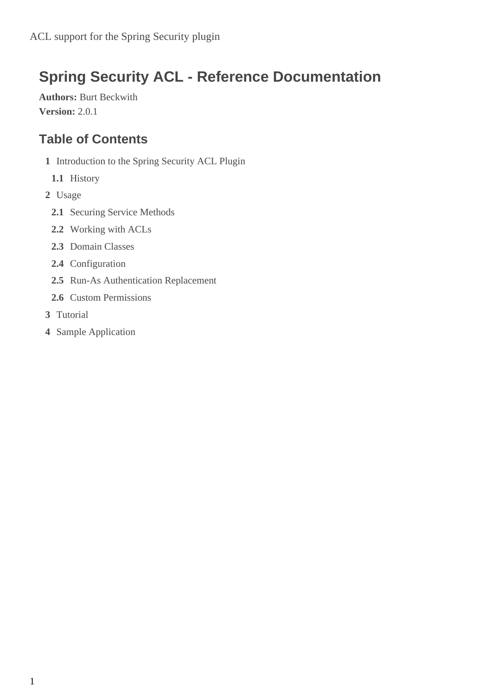# **Spring Security ACL - Reference Documentation**

**Authors:** Burt Beckwith **Version:** 2.0.1

### **Table of Contents**

- **1** [Introduction to the Spring Security ACL Plugin](#page-1-0)
	- **1.1** [History](#page-1-1)
- **2** [Usage](#page-3-0)
	- **2.1** [Securing Service Methods](#page-3-1)
	- **2.2** [Working with ACLs](#page-5-0)
	- **2.3** [Domain Classes](#page-7-0)
	- **2.4** [Configuration](#page-10-0)
	- **2.5** [Run-As Authentication Replacement](#page-11-0)
	- **2.6** [Custom Permissions](#page-11-1)
- **3** [Tutorial](#page-14-0)
- **4** [Sample Application](#page-23-0)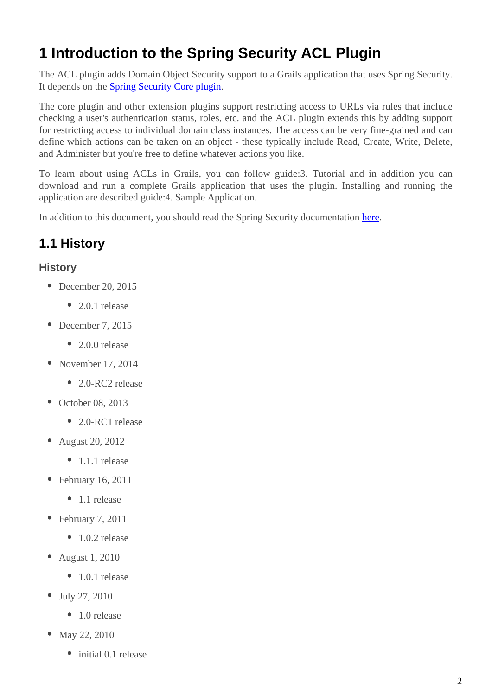## <span id="page-1-0"></span>**1 Introduction to the Spring Security ACL Plugin**

The ACL plugin adds Domain Object Security support to a Grails application that uses Spring Security. It depends on the **Spring Security Core plugin**.

The core plugin and other extension plugins support restricting access to URLs via rules that include checking a user's authentication status, roles, etc. and the ACL plugin extends this by adding support for restricting access to individual domain class instances. The access can be very fine-grained and can define which actions can be taken on an object - these typically include Read, Create, Write, Delete, and Administer but you're free to define whatever actions you like.

To learn about using ACLs in Grails, you can follow guide:3. Tutorial and in addition you can download and run a complete Grails application that uses the plugin. Installing and running the application are described guide:4. Sample Application.

In addition to this document, you should read the Spring Security documentation [here](http://docs.spring.io/spring-security/site/docs/3.2.x/reference/htmlsingle/#domain-acls).

## <span id="page-1-1"></span>**1.1 History**

#### **History**

- December 20, 2015
	- 2.0.1 release
- December 7, 2015
	- 2.0.0 release
- November 17, 2014
	- 2.0-RC2 release
- October 08, 2013
	- 2.0-RC1 release
- August 20, 2012
	- 1.1.1 release
- February 16, 2011
	- 1.1 release
- February 7, 2011
	- 1.0.2 release
- August 1, 2010
	- 1.0.1 release
- July 27, 2010
	- 1.0 release
- May 22, 2010
	- initial 0.1 release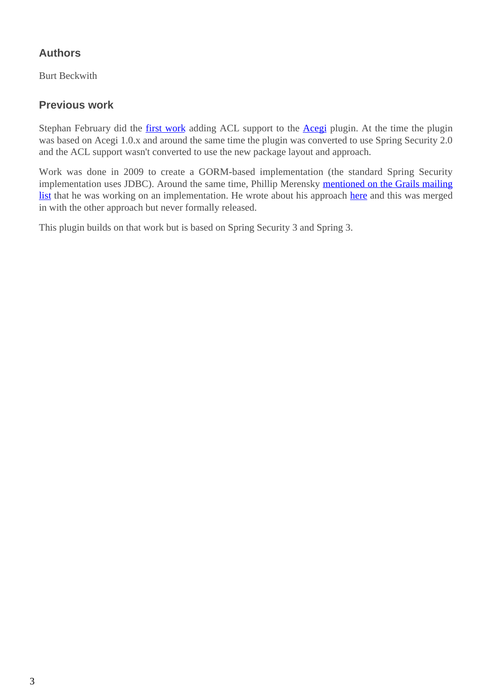#### **Authors**

Burt Beckwith

#### **Previous work**

Stephan February did the [first work](http://blog.bruary.net/2008/04/grails-acegi-acl-howto.html) adding ACL support to the [Acegi](http://grails.org/plugin/acegi/) plugin. At the time the plugin was based on Acegi 1.0.x and around the same time the plugin was converted to use Spring Security 2.0 and the ACL support wasn't converted to use the new package layout and approach.

Work was done in 2009 to create a GORM-based implementation (the standard Spring Security implementation uses JDBC). Around the same time, Phillip Merensky [mentioned on the Grails mailing](http://grails.1312388.n4.nabble.com/Acegi-Plugin-0-5-1-with-ACL-support-implemented-td1400650.html) [list](http://grails.1312388.n4.nabble.com/Acegi-Plugin-0-5-1-with-ACL-support-implemented-td1400650.html) that he was working on an implementation. He wrote about his approach [here](http://imagesiteproject.wordpress.com/2009/09/24/integration-of-spring-security-into-grails-plugin-approach-3/) and this was merged in with the other approach but never formally released.

This plugin builds on that work but is based on Spring Security 3 and Spring 3.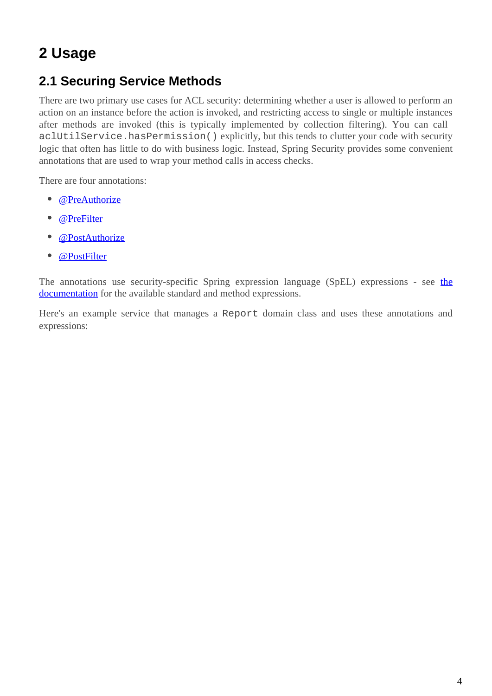# <span id="page-3-0"></span>**2 Usage**

## <span id="page-3-1"></span>**2.1 Securing Service Methods**

There are two primary use cases for ACL security: determining whether a user is allowed to perform an action on an instance before the action is invoked, and restricting access to single or multiple instances after methods are invoked (this is typically implemented by collection filtering). You can call aclUtilService.hasPermission() explicitly, but this tends to clutter your code with security logic that often has little to do with business logic. Instead, Spring Security provides some convenient annotations that are used to wrap your method calls in access checks.

There are four annotations:

- [@PreAuthorize](http://docs.spring.io/spring-security/site/docs/3.2.x/apidocs/org/springframework/security/access/prepost/PreAuthorize.html)
- **[@PreFilter](http://docs.spring.io/spring-security/site/docs/3.2.x/apidocs/org/springframework/security/access/prepost/PreFilter.html)**
- **[@PostAuthorize](http://docs.spring.io/spring-security/site/docs/3.2.x/apidocs/org/springframework/security/access/prepost/PostAuthorize.html)**
- **[@PostFilter](http://docs.spring.io/spring-security/site/docs/3.2.x/apidocs/org/springframework/security/access/prepost/PostFilter.html)**

The annotations use security-specific Spring expression language (SpEL) expressions - see [the](http://docs.spring.io/spring-security/site/docs/3.2.x/reference/htmlsingle/#el-access) [documentation](http://docs.spring.io/spring-security/site/docs/3.2.x/reference/htmlsingle/#el-access) for the available standard and method expressions.

Here's an example service that manages a Report domain class and uses these annotations and expressions: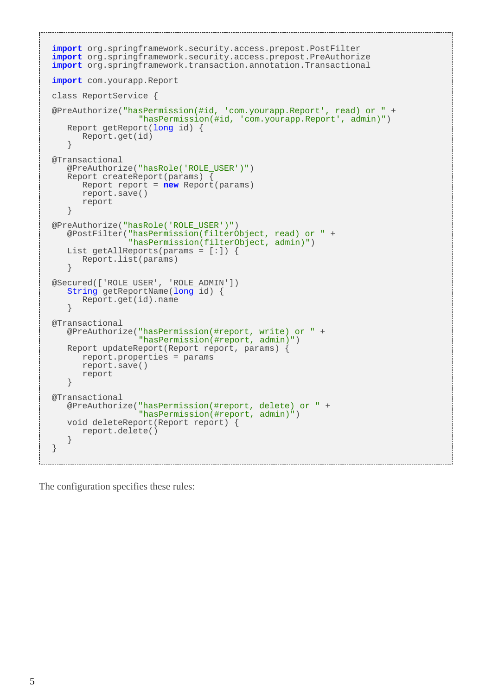```
import org.springframework.security.access.prepost.PostFilter
import org.springframework.security.access.prepost.PreAuthorize
import org.springframework.transaction.annotation.Transactional
import com.yourapp.Report
class ReportService {
@PreAuthorize("hasPermission(#id, 'com.yourapp.Report', read) or " +
                  "hasPermission(#id, 'com.yourapp.Report', admin)")
    Report getReport(long id) {
       Report.get(id)
 }
@Transactional
    @PreAuthorize("hasRole('ROLE_USER')")
   Report createReport(params) {
       Report report = new Report(params)
       report.save()
       report
    }
@PreAuthorize("hasRole('ROLE_USER')")
    @PostFilter("hasPermission(filterObject, read) or " +
                 "hasPermission(filterObject, admin)")
   List getAllReports(params = [:]) {
       Report.list(params)
    }
@Secured(['ROLE_USER', 'ROLE_ADMIN'])
    String getReportName(long id) {
       Report.get(id).name
    }
@Transactional
   @PreAuthorize("hasPermission(#report, write) or " +
                  "hasPermission(#report, admin)")
   Report updateReport(Report report, params) {
       report.properties = params
       report.save()
       report
    }
@Transactional
   @PreAuthorize("hasPermission(#report, delete) or " +
                   "hasPermission(#report, admin)")
    void deleteReport(Report report) {
       report.delete()
    }
}
```
The configuration specifies these rules: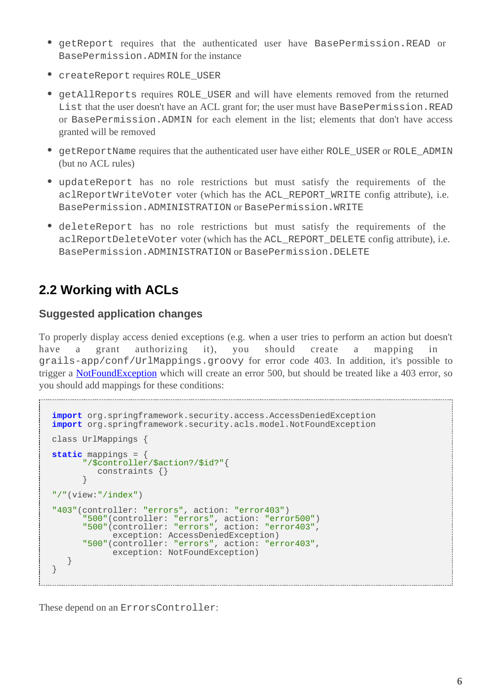- getReport requires that the authenticated user have BasePermission.READ or BasePermission.ADMIN for the instance
- createReport requires ROLE\_USER
- getAllReports requires ROLE\_USER and will have elements removed from the returned List that the user doesn't have an ACL grant for; the user must have BasePermission.READ or BasePermission.ADMIN for each element in the list; elements that don't have access granted will be removed
- getReportName requires that the authenticated user have either ROLE\_USER or ROLE\_ADMIN (but no ACL rules)
- updateReport has no role restrictions but must satisfy the requirements of the aclReportWriteVoter voter (which has the ACL\_REPORT\_WRITE config attribute), i.e. BasePermission.ADMINISTRATION or BasePermission.WRITE
- deleteReport has no role restrictions but must satisfy the requirements of the aclReportDeleteVoter voter (which has the ACL\_REPORT\_DELETE config attribute), i.e. BasePermission.ADMINISTRATION or BasePermission.DELETE

### <span id="page-5-0"></span>**2.2 Working with ACLs**

#### **Suggested application changes**

To properly display access denied exceptions (e.g. when a user tries to perform an action but doesn't have a grant authorizing it), you should create a mapping in grails-app/conf/UrlMappings.groovy for error code 403. In addition, it's possible to trigger a **[NotFoundException](http://docs.spring.io/spring-security/site/docs/3.2.x/apidocs/org/springframework/security/acls/model/NotFoundException.html)** which will create an error 500, but should be treated like a 403 error, so you should add mappings for these conditions:

```
import org.springframework.security.access.AccessDeniedException
import org.springframework.security.acls.model.NotFoundException
class UrlMappings {
static mappings = {
       "/$controller/$action?/$id?"{
         constraints {}
 }
"/"(view:"/index")
"403"(controller: "errors", action: "error403")
 "500"(controller: "errors", action: "error500")
 "500"(controller: "errors", action: "error403",
            exception: AccessDeniedException)
       "500"(controller: "errors", action: "error403",
            exception: NotFoundException)
    }
}
```
These depend on an ErrorsController: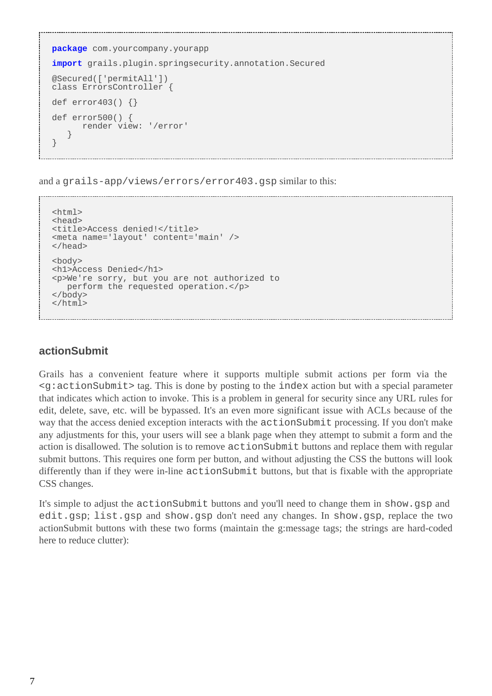```
package com.yourcompany.yourapp
import grails.plugin.springsecurity.annotation.Secured
@Secured(['permitAll'])
class ErrorsController {
def error403() {}
def error500() {
       render view: '/error'
 }
}
```
and a grails-app/views/errors/error403.gsp similar to this:

```
<html>
<head>
<title>Access denied!</title>
<meta name='layout' content='main' />
</head>
<body>
<h1>Access Denied</h1>
<p>We're sorry, but you are not authorized to
   perform the requested operation.</p>
</body>
</html>
```
#### **actionSubmit**

Grails has a convenient feature where it supports multiple submit actions per form via the  $\leq g:$  actionSubmit> tag. This is done by posting to the index action but with a special parameter that indicates which action to invoke. This is a problem in general for security since any URL rules for edit, delete, save, etc. will be bypassed. It's an even more significant issue with ACLs because of the way that the access denied exception interacts with the actionSubmit processing. If you don't make any adjustments for this, your users will see a blank page when they attempt to submit a form and the action is disallowed. The solution is to remove actionSubmit buttons and replace them with regular submit buttons. This requires one form per button, and without adjusting the CSS the buttons will look differently than if they were in-line actionSubmit buttons, but that is fixable with the appropriate CSS changes.

It's simple to adjust the actionSubmit buttons and you'll need to change them in show.gsp and edit.gsp; list.gsp and show.gsp don't need any changes. In show.gsp, replace the two actionSubmit buttons with these two forms (maintain the g:message tags; the strings are hard-coded here to reduce clutter):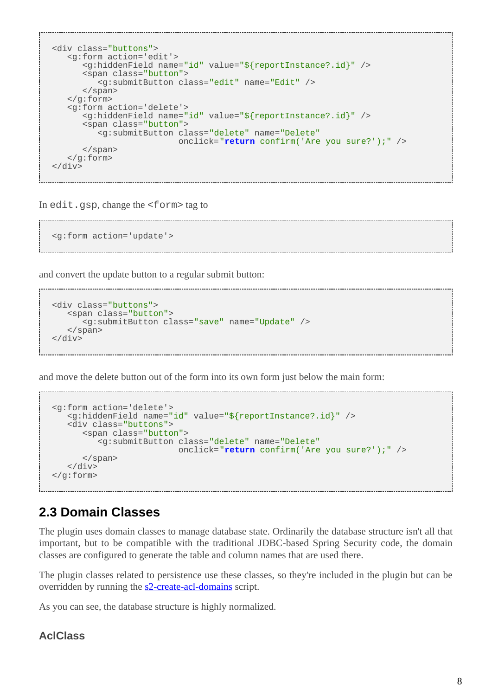```
<div class="buttons">
   <g:form action='edit'>
      <g:hiddenField name="id" value="${reportInstance?.id}" />
       <span class="button">
          <g:submitButton class="edit" name="Edit" />
      </span>
   </g:form>
   <g:form action='delete'>
       <g:hiddenField name="id" value="${reportInstance?.id}" />
       <span class="button">
          <g:submitButton class="delete" name="Delete"
                           onclick="return confirm('Are you sure?');" />
       </span>
   </g:form>
</div>
```
In edit.gsp, change the <form> tag to

```
<g:form action='update'>
```
and convert the update button to a regular submit button:

```
<div class="buttons">
    <span class="button">
       <g:submitButton class="save" name="Update" />
    </span>
</div>
```
and move the delete button out of the form into its own form just below the main form:

```
<g:form action='delete'>
   <g:hiddenField name="id" value="${reportInstance?.id}" />
    <div class="buttons">
       <span class="button">
          <g:submitButton class="delete" name="Delete"
                           onclick="return confirm('Are you sure?');" />
       </span>
  \langlediv>
</g:form>
```
## <span id="page-7-0"></span>**2.3 Domain Classes**

The plugin uses domain classes to manage database state. Ordinarily the database structure isn't all that important, but to be compatible with the traditional JDBC-based Spring Security code, the domain classes are configured to generate the table and column names that are used there.

The plugin classes related to persistence use these classes, so they're included in the plugin but can be overridden by running the s2-create-acl-domains script.

As you can see, the database structure is highly normalized.

#### **AclClass**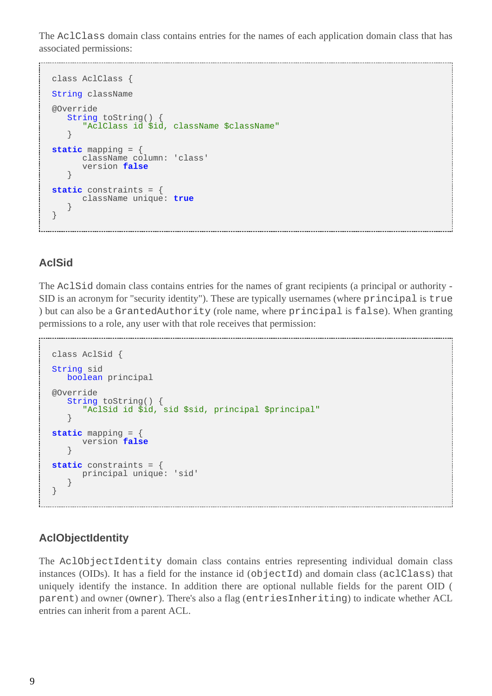The AclClass domain class contains entries for the names of each application domain class that has associated permissions:

```
class AclClass {
String className
@Override
   String toString() {
       "AclClass id $id, className $className"
 }
static mapping = {
      className column: 'class'
       version false
    }
static constraints = {
       className unique: true
    }
}
```
#### **AclSid**

The AclSid domain class contains entries for the names of grant recipients (a principal or authority - SID is an acronym for "security identity"). These are typically usernames (where principal is true ) but can also be a GrantedAuthority (role name, where principal is false). When granting permissions to a role, any user with that role receives that permission:

```
class AclSid {
String sid
   boolean principal
@Override
   String toString() {
       "AclSid id $id, sid $sid, principal $principal"
    }
static mapping = {
       version false
 }
static constraints = {
      principal unique: 'sid'
    }
}
```
#### **AclObjectIdentity**

The AclObjectIdentity domain class contains entries representing individual domain class instances (OIDs). It has a field for the instance id (objectId) and domain class (aclClass) that uniquely identify the instance. In addition there are optional nullable fields for the parent OID ( parent) and owner (owner). There's also a flag (entriesInheriting) to indicate whether ACL entries can inherit from a parent ACL.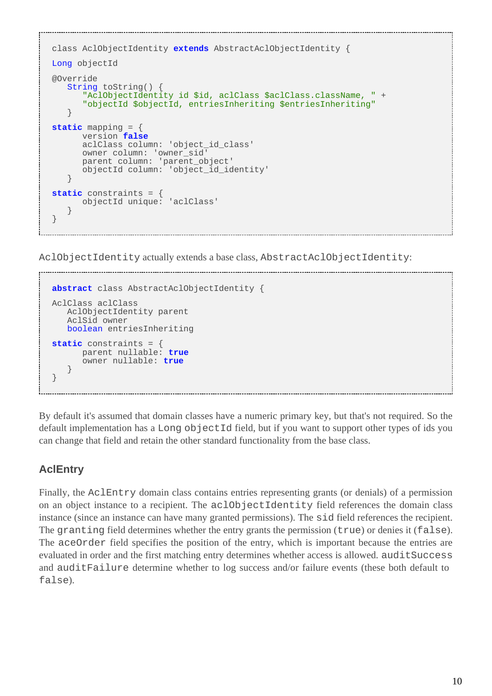```
class AclObjectIdentity extends AbstractAclObjectIdentity {
Long objectId
@Override
   String toString()
       "AclObjectIdentity id $id, aclClass $aclClass.className, " +
       "objectId $objectId, entriesInheriting $entriesInheriting"
 }
static mapping = {
       version false
       aclClass column: 'object_id_class'
       owner column: 'owner_sid'
       parent column: 'parent_object'
       objectId column: 'object_id_identity'
    }
static constraints = {
       objectId unique: 'aclClass'
 }
}
```
AclObjectIdentity actually extends a base class, AbstractAclObjectIdentity:

```
abstract class AbstractAclObjectIdentity {
AclClass aclClass
    AclObjectIdentity parent
    AclSid owner
    boolean entriesInheriting
static constraints = {
       parent nullable: true
       owner nullable: true
    }
}
```
By default it's assumed that domain classes have a numeric primary key, but that's not required. So the default implementation has a Long objectId field, but if you want to support other types of ids you can change that field and retain the other standard functionality from the base class.

### **AclEntry**

Finally, the AclEntry domain class contains entries representing grants (or denials) of a permission on an object instance to a recipient. The aclObjectIdentity field references the domain class instance (since an instance can have many granted permissions). The sid field references the recipient. The granting field determines whether the entry grants the permission (true) or denies it (false). The aceOrder field specifies the position of the entry, which is important because the entries are evaluated in order and the first matching entry determines whether access is allowed. auditSuccess and auditFailure determine whether to log success and/or failure events (these both default to false).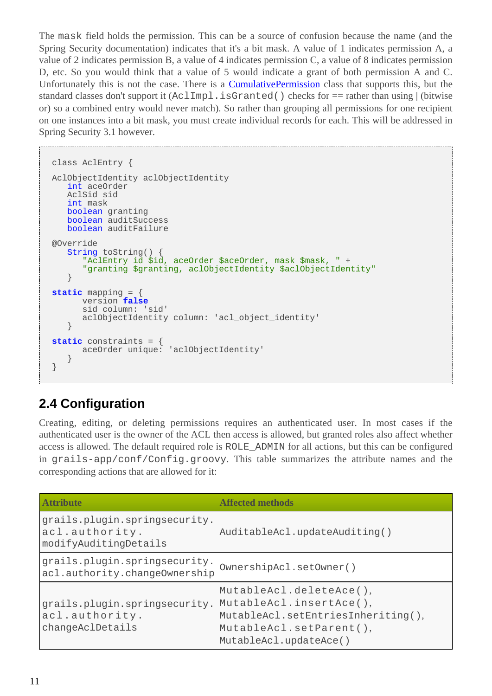The mask field holds the permission. This can be a source of confusion because the name (and the Spring Security documentation) indicates that it's a bit mask. A value of 1 indicates permission A, a value of 2 indicates permission B, a value of 4 indicates permission C, a value of 8 indicates permission D, etc. So you would think that a value of 5 would indicate a grant of both permission A and C. Unfortunately this is not the case. There is a **[CumulativePermission](http://docs.spring.io/spring-security/site/docs/3.2.x/apidocs/org/springframework/security/acls/domain/CumulativePermission.html)** class that supports this, but the standard classes don't support it (AclImpl.isGranted() checks for == rather than using | (bitwise or) so a combined entry would never match). So rather than grouping all permissions for one recipient on one instances into a bit mask, you must create individual records for each. This will be addressed in Spring Security 3.1 however.

```
class AclEntry {
AclObjectIdentity aclObjectIdentity
   int aceOrder
    AclSid sid
    int mask
   boolean granting
   boolean auditSuccess
   boolean auditFailure
@Override
    String toString() {
       "AclEntry id $id, aceOrder $aceOrder, mask $mask, " +
       "granting $granting, aclObjectIdentity $aclObjectIdentity"
    }
static mapping = {
       version false
       sid column: 'sid'
       aclObjectIdentity column: 'acl_object_identity'
    }
static constraints = {
       aceOrder unique: 'aclObjectIdentity'
 }
}
```
## <span id="page-10-0"></span>**2.4 Configuration**

Creating, editing, or deleting permissions requires an authenticated user. In most cases if the authenticated user is the owner of the ACL then access is allowed, but granted roles also affect whether access is allowed. The default required role is ROLE\_ADMIN for all actions, but this can be configured in grails-app/conf/Config.groovy. This table summarizes the attribute names and the corresponding actions that are allowed for it:

| <b>Attribute</b>                                                         | <b>Affected methods</b>                                                                                                                       |
|--------------------------------------------------------------------------|-----------------------------------------------------------------------------------------------------------------------------------------------|
| grails.plugin.springsecurity.<br>acl.authority.<br>modifyAuditingDetails | AuditableAcl.updateAuditing()                                                                                                                 |
| grails.plugin.springsecurity.<br>acl.authority.changeOwnership           | OwnershipAcl.setOwner()                                                                                                                       |
| grails.plugin.springsecurity.<br>acl.authority.<br>changeAclDetails      | MutableAcl.deleteAce(),<br>MutableAcl.insertAce(),<br>MutableAcl.setEntriesInheriting(),<br>MutableAcl.setParent(),<br>MutableAcl.updateAce() |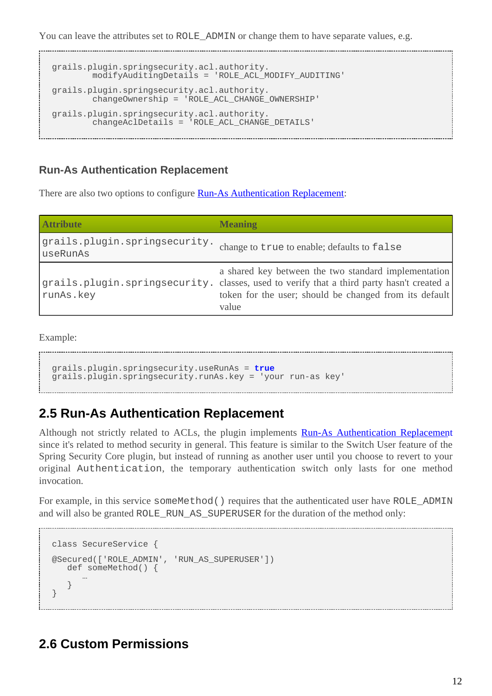You can leave the attributes set to ROLE\_ADMIN or change them to have separate values, e.g.

```
grails.plugin.springsecurity.acl.authority.
         modifyAuditingDetails = 'ROLE_ACL_MODIFY_AUDITING'
grails.plugin.springsecurity.acl.authority.
         changeOwnership = 'ROLE_ACL_CHANGE_OWNERSHIP'
grails.plugin.springsecurity.acl.authority.
         changeAclDetails = 'ROLE_ACL_CHANGE_DETAILS'
```
#### **Run-As Authentication Replacement**

There are also two options to configure **[Run-As Authentication Replacement](http://docs.spring.io/spring-security/site/docs/3.2.x/reference/htmlsingle/#runas)**:

| <b>Attribute</b>                          | <b>Meaning</b>                                                                                                                                                                                                       |
|-------------------------------------------|----------------------------------------------------------------------------------------------------------------------------------------------------------------------------------------------------------------------|
| grails.plugin.springsecurity.<br>useRunAs | change to true to enable; defaults to false                                                                                                                                                                          |
| runAs.key                                 | a shared key between the two standard implementation<br>grails.plugin.springsecurity. classes, used to verify that a third party hasn't created a<br>token for the user; should be changed from its default<br>value |

Example:

```
grails.plugin.springsecurity.useRunAs = true
grails.plugin.springsecurity.runAs.key = 'your run-as key'
```
### <span id="page-11-0"></span>**2.5 Run-As Authentication Replacement**

Although not strictly related to ACLs, the plugin implements **[Run-As Authentication Replacemen](http://docs.spring.io/spring-security/site/docs/3.2.x/reference/htmlsingle/#runas)t** since it's related to method security in general. This feature is similar to the Switch User feature of the Spring Security Core plugin, but instead of running as another user until you choose to revert to your original Authentication, the temporary authentication switch only lasts for one method invocation.

For example, in this service some Method() requires that the authenticated user have ROLE\_ADMIN and will also be granted ROLE\_RUN\_AS\_SUPERUSER for the duration of the method only:

```
class SecureService {
@Secured(['ROLE_ADMIN', 'RUN_AS_SUPERUSER'])
   def someMethod() {
 …
    }
}
```
### <span id="page-11-1"></span>**2.6 Custom Permissions**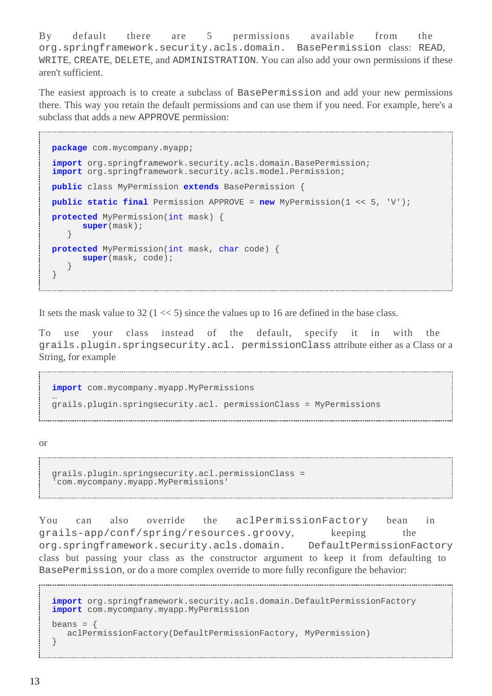By default there are 5 permissions available from the org.springframework.security.acls.domain. BasePermission class: READ, WRITE, CREATE, DELETE, and ADMINISTRATION. You can also add your own permissions if these aren't sufficient.

The easiest approach is to create a subclass of BasePermission and add your new permissions there. This way you retain the default permissions and can use them if you need. For example, here's a subclass that adds a new APPROVE permission:

```
package com.mycompany.myapp;
import org.springframework.security.acls.domain.BasePermission;
import org.springframework.security.acls.model.Permission;
public class MyPermission extends BasePermission {
public static final Permission APPROVE = new MyPermission(1 << 5, 'V');
protected MyPermission(int mask) {
       super(mask);
    }
protected MyPermission(int mask, char code) {
       super(mask, code);
 }
}
```
It sets the mask value to 32 ( $1 \ll 5$ ) since the values up to 16 are defined in the base class.

To use your class instead of the default, specify it in with the grails.plugin.springsecurity.acl. permissionClass attribute either as a Class or a String, for example

**import** com.mycompany.myapp.MyPermissions … grails.plugin.springsecurity.acl. permissionClass = MyPermissions

or

```
grails.plugin.springsecurity.acl.permissionClass =
'com.mycompany.myapp.MyPermissions'
```
You can also override the aclPermissionFactory bean in grails-app/conf/spring/resources.groovy, keeping the org.springframework.security.acls.domain. DefaultPermissionFactory class but passing your class as the constructor argument to keep it from defaulting to BasePermission, or do a more complex override to more fully reconfigure the behavior:

```
import org.springframework.security.acls.domain.DefaultPermissionFactory
import com.mycompany.myapp.MyPermission
beans = \{ aclPermissionFactory(DefaultPermissionFactory, MyPermission)
}
```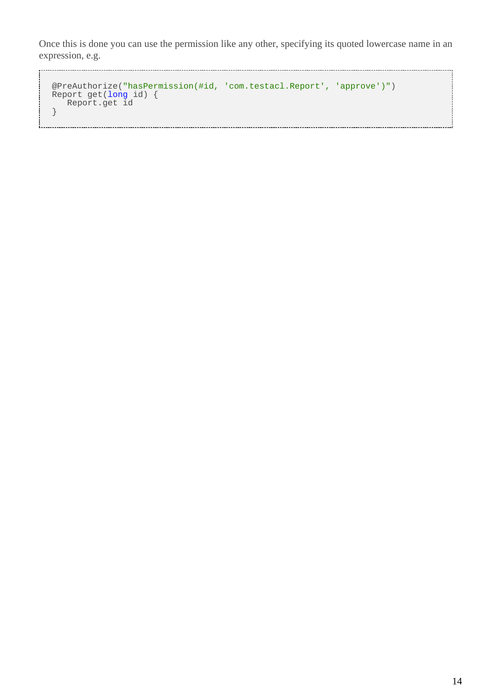Once this is done you can use the permission like any other, specifying its quoted lowercase name in an expression, e.g.

```
@PreAuthorize("hasPermission(#id, 'com.testacl.Report', 'approve')")
 Report get(long id) {
  Report.get id
 }
```
- 1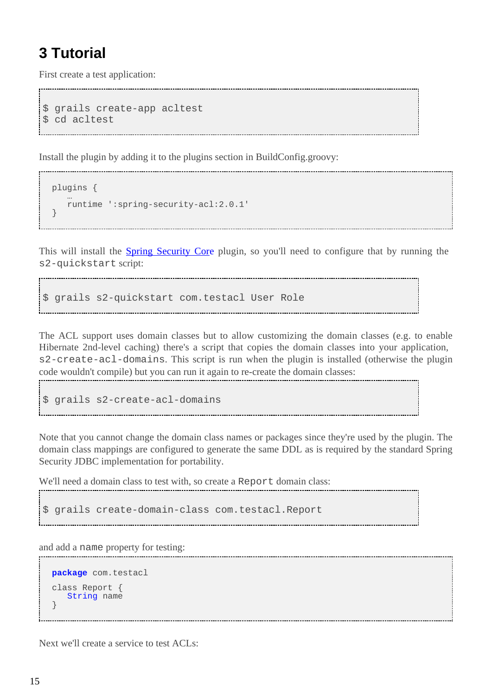## <span id="page-14-0"></span>**3 Tutorial**

First create a test application:

```
$ grails create-app acltest
$ cd acltest
```
Install the plugin by adding it to the plugins section in BuildConfig.groovy:

```
plugins {
 …
    runtime ':spring-security-acl:2.0.1'
}
```
This will install the **[Spring Security Core](http://grails.org/plugin/spring-security-core)** plugin, so you'll need to configure that by running the s2-quickstart script:

\$ grails s2-quickstart com.testacl User Role

The ACL support uses domain classes but to allow customizing the domain classes (e.g. to enable Hibernate 2nd-level caching) there's a script that copies the domain classes into your application, s2-create-acl-domains. This script is run when the plugin is installed (otherwise the plugin code wouldn't compile) but you can run it again to re-create the domain classes:

```
$ grails s2-create-acl-domains
```
Note that you cannot change the domain class names or packages since they're used by the plugin. The domain class mappings are configured to generate the same DDL as is required by the standard Spring Security JDBC implementation for portability.

We'll need a domain class to test with, so create a Report domain class:

\$ grails create-domain-class com.testacl.Report

and add a name property for testing:

```
package com.testacl
class Report {
    String name
}
```
Next we'll create a service to test ACLs: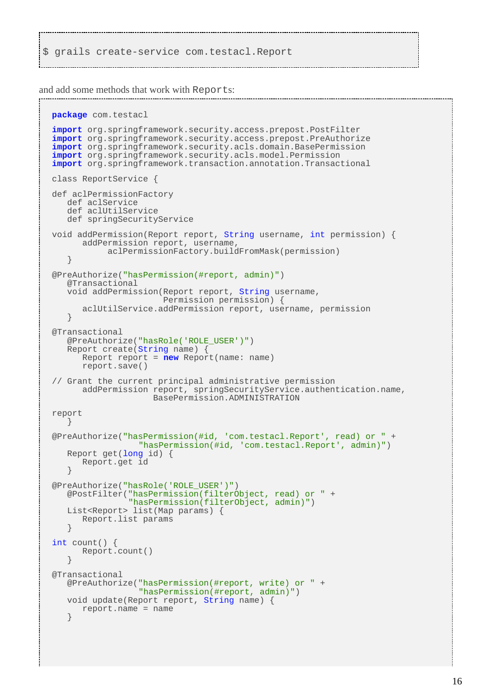\$ grails create-service com.testacl.Report

and add some methods that work with Reports:

```
package com.testacl
import org.springframework.security.access.prepost.PostFilter
import org.springframework.security.access.prepost.PreAuthorize
import org.springframework.security.acls.domain.BasePermission
import org.springframework.security.acls.model.Permission
import org.springframework.transaction.annotation.Transactional
class ReportService {
def aclPermissionFactory
    def aclService
    def aclUtilService
    def springSecurityService
void addPermission(Report report, String username, int permission) {
       addPermission report, username,
            aclPermissionFactory.buildFromMask(permission)
    }
@PreAuthorize("hasPermission(#report, admin)")
    @Transactional
    void addPermission(Report report, String username,
                       Permission permission) {
       aclUtilService.addPermission report, username, permission
    }
@Transactional
    @PreAuthorize("hasRole('ROLE_USER')")
    Report create(String name) {
       Report report = new Report(name: name)
       report.save()
// Grant the current principal administrative permission
       addPermission report, springSecurityService.authentication.name,
                     BasePermission.ADMINISTRATION
report
    }
@PreAuthorize("hasPermission(#id, 'com.testacl.Report', read) or " +
                  "hasPermission(#id, 'com.testacl.Report', admin)")
    Report get(long id) {
       Report.get id
 }
@PreAuthorize("hasRole('ROLE_USER')")
    @PostFilter("hasPermission(filterObject, read) or " +
                "hasPermission(filterObject, admin)")
    List<Report> list(Map params) {
       Report.list params
 }
int count() {
       Report.count()
    }
@Transactional
    @PreAuthorize("hasPermission(#report, write) or " +
                  "hasPermission(#report, admin)")
    void update(Report report, String name) {
       report.name = name
 }
```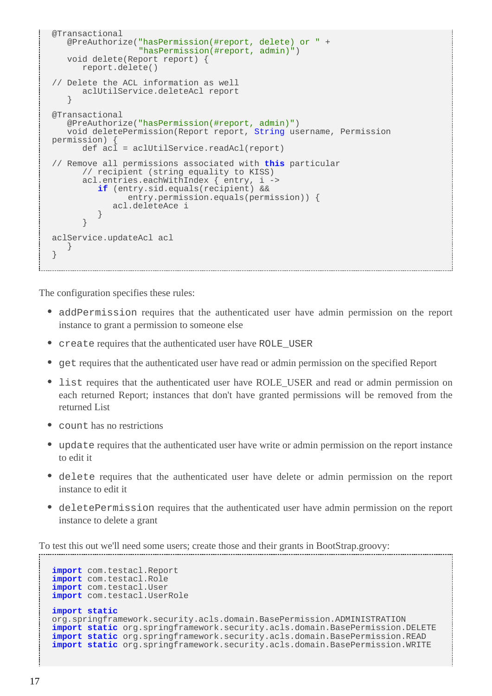```
@Transactional
 @PreAuthorize("hasPermission(#report, delete) or " +
 "hasPermission(#report, admin)")
   void delete(Report report) {
      report.delete()
// Delete the ACL information as well
      aclUtilService.deleteAcl report
 }
@Transactional
   @PreAuthorize("hasPermission(#report, admin)")
   void deletePermission(Report report, String username, Permission
permission) {
     def acli = \text{adUtilService.readAcl}(\text{report})// Remove all permissions associated with this particular
      // recipient (string equality to KISS)
 acl.entries.eachWithIndex { entry, i ->
 if (entry.sid.equals(recipient) &&
               entry.permission.equals(permission)) {
         acl.deleteAce i
 }
      }
aclService.updateAcl acl
   }
}
```
The configuration specifies these rules:

- addPermission requires that the authenticated user have admin permission on the report instance to grant a permission to someone else
- create requires that the authenticated user have ROLE\_USER
- get requires that the authenticated user have read or admin permission on the specified Report
- list requires that the authenticated user have ROLE\_USER and read or admin permission on each returned Report; instances that don't have granted permissions will be removed from the returned List
- count has no restrictions
- update requires that the authenticated user have write or admin permission on the report instance to edit it
- delete requires that the authenticated user have delete or admin permission on the report instance to edit it
- deletePermission requires that the authenticated user have admin permission on the report instance to delete a grant

To test this out we'll need some users; create those and their grants in BootStrap.groovy:

```
import com.testacl.Report
import com.testacl.Role
import com.testacl.User
import com.testacl.UserRole
import static
org.springframework.security.acls.domain.BasePermission.ADMINISTRATION
import static org.springframework.security.acls.domain.BasePermission.DELETE
import static org.springframework.security.acls.domain.BasePermission.READ
import static org.springframework.security.acls.domain.BasePermission.WRITE
```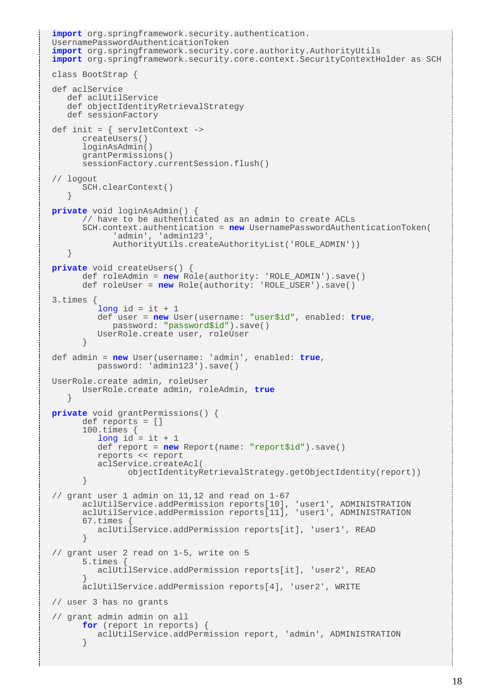```
import org.springframework.security.authentication.
UsernamePasswordAuthenticationToken
import org.springframework.security.core.authority.AuthorityUtils
import org.springframework.security.core.context.SecurityContextHolder as SCH
class BootStrap {
def aclService
    def aclUtilService
    def objectIdentityRetrievalStrategy
    def sessionFactory
def init = { servletContext ->
       createUsers()
       loginAsAdmin()
       grantPermissions()
       sessionFactory.currentSession.flush()
// logout
       SCH.clearContext()
    }
private void loginAsAdmin() {
       // have to be authenticated as an admin to create ACLs
       SCH.context.authentication = new UsernamePasswordAuthenticationToken(
             'admin', 'admin123',
             AuthorityUtils.createAuthorityList('ROLE_ADMIN'))
 }
private void createUsers() {
       def roleAdmin = new Role(authority: 'ROLE_ADMIN').save()
       def roleUser = new Role(authority: 'ROLE_USER').save()
3.times {
         long id = it +1 def user = new User(username: "user$id", enabled: true,
            password: "password$id").save()
          UserRole.create user, roleUser
       }
def admin = new User(username: 'admin', enabled: true,
          password: 'admin123').save()
UserRole.create admin, roleUser
       UserRole.create admin, roleAdmin, true
 }
private void grantPermissions() {
       def reports = []
       100.times {
         long id = it + 1 def report = new Report(name: "report$id").save()
          reports << report
          aclService.createAcl(
                objectIdentityRetrievalStrategy.getObjectIdentity(report))
 }
// grant user 1 admin on 11,12 and read on 1-67
       aclUtilService.addPermission reports[10], 'user1', ADMINISTRATION
       aclUtilService.addPermission reports[11], 'user1', ADMINISTRATION
       67.times {
         aclUtilService.addPermission reports[it], 'user1', READ
 }
// grant user 2 read on 1-5, write on 5
       5.times {
          aclUtilService.addPermission reports[it], 'user2', READ
 }
       aclUtilService.addPermission reports[4], 'user2', WRITE
// user 3 has no grants
// grant admin admin on all
       for (report in reports) {
          aclUtilService.addPermission report, 'admin', ADMINISTRATION
 }
```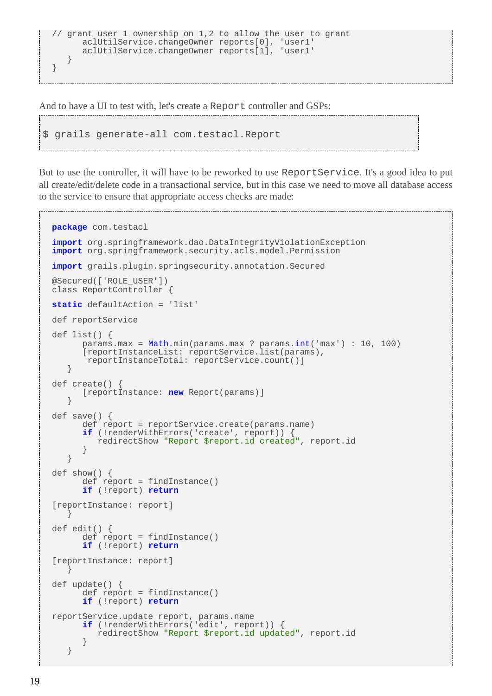```
// grant user 1 ownership on 1,2 to allow the user to grant
 aclUtilService.changeOwner reports[0], 'user1'
 aclUtilService.changeOwner reports[1], 'user1'
   }
}
```
And to have a UI to test with, let's create a Report controller and GSPs:

```
$ grails generate-all com.testacl.Report
```
But to use the controller, it will have to be reworked to use ReportService. It's a good idea to put all create/edit/delete code in a transactional service, but in this case we need to move all database access to the service to ensure that appropriate access checks are made:

```
package com.testacl
import org.springframework.dao.DataIntegrityViolationException
import org.springframework.security.acls.model.Permission
import grails.plugin.springsecurity.annotation.Secured
@Secured(['ROLE_USER'])
class ReportController {
static defaultAction = 'list'
def reportService
def list() {
       params.max = Math.min(params.max ? params.int('max') : 10, 100)
       [reportInstanceList: reportService.list(params),
        reportInstanceTotal: reportService.count()]
    }
def create() {
       [reportInstance: new Report(params)]
    }
def save() {
      def report = reportService.create(params.name)
       if (!renderWithErrors('create', report)) {
          redirectShow "Report $report.id created", report.id
 }
 }
def show() {
       def report = findInstance()
       if (!report) return
[reportInstance: report]
 }
def edit() {
      def report = findInstance()
       if (!report) return
[reportInstance: report]
 }
def update() {
      def report = findInstance()
       if (!report) return
reportService.update report, params.name
 if (!renderWithErrors('edit', report)) {
          redirectShow "Report $report.id updated", report.id
       }
    }
```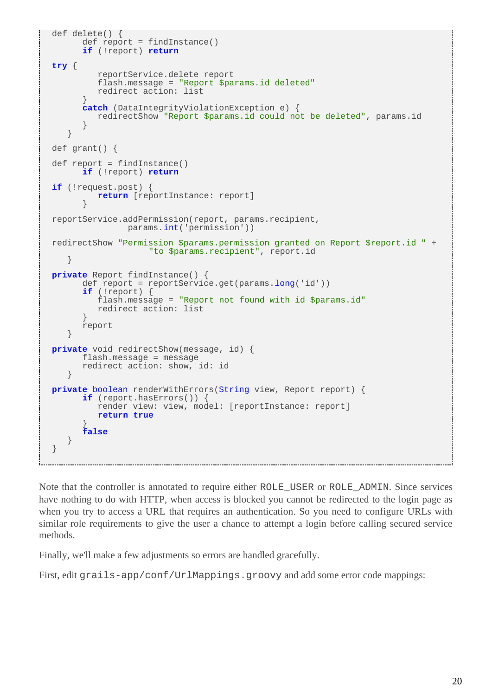```
def delete() {
       def report = findInstance()
       if (!report) return
try {
          reportService.delete report
          flash.message = "Report $params.id deleted"
          redirect action: list
 }
       catch (DataIntegrityViolationException e) {
          redirectShow "Report $params.id could not be deleted", params.id
 }
 }
def grant() {
def report = findInstance()
       if (!report) return
if (!request.post) {
          return [reportInstance: report]
 }
reportService.addPermission(report, params.recipient,
                params.int('permission'))
redirectShow "Permission $params.permission granted on Report $report.id " +
                    "to $params.recipient", report.id
    }
private Report findInstance() {
       def report = reportService.get(params.long('id'))
       if (!report) {
          flash.message = "Report not found with id $params.id"
          redirect action: list
       }
       report
    }
private void redirectShow(message, id) {
       flash.message = message
       redirect action: show, id: id
    }
private boolean renderWithErrors(String view, Report report) {
       if (report.hasErrors()) {
          render view: view, model: [reportInstance: report]
          return true
 }
       false
    }
}
```
Note that the controller is annotated to require either ROLE\_USER or ROLE\_ADMIN. Since services have nothing to do with HTTP, when access is blocked you cannot be redirected to the login page as when you try to access a URL that requires an authentication. So you need to configure URLs with similar role requirements to give the user a chance to attempt a login before calling secured service methods.

Finally, we'll make a few adjustments so errors are handled gracefully.

First, edit grails-app/conf/UrlMappings.groovy and add some error code mappings: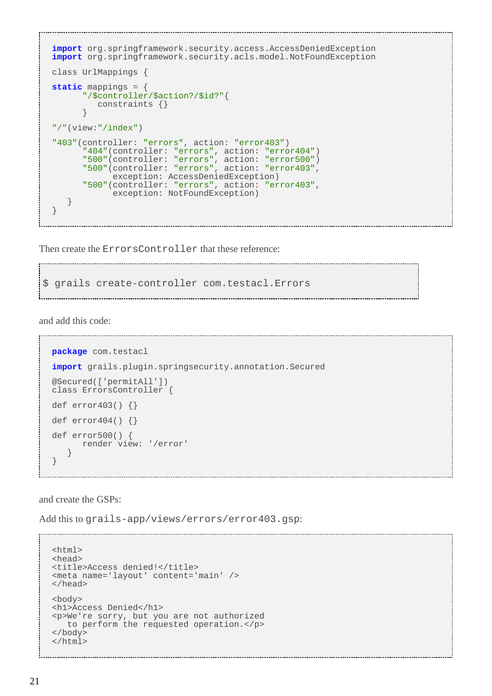```
import org.springframework.security.access.AccessDeniedException
import org.springframework.security.acls.model.NotFoundException
class UrlMappings {
static mappings = {
       "/$controller/$action?/$id?"{
          constraints {}
 }
"/"(view:"/index")
"403"(controller: "errors", action: "error403")
       "404"(controller: "errors", action: "error404")
       "500"(controller: "errors", action: "error500")
       "500"(controller: "errors", action: "error403",
             exception: AccessDeniedException)
       "500"(controller: "errors", action: "error403",
             exception: NotFoundException)
    }
}
```
Then create the ErrorsController that these reference:

\$ grails create-controller com.testacl.Errors

and add this code:

```
package com.testacl
import grails.plugin.springsecurity.annotation.Secured
@Secured(['permitAll'])
class ErrorsController {
def error403() {}
def error404() {}
def error500() {
       render view: '/error'
 }
}
```
and create the GSPs:

Add this to grails-app/views/errors/error403.gsp:

```
<html>
<head>
<title>Access denied!</title>
<meta name='layout' content='main' />
</head>
<body>
<h1>Access Denied</h1>
<p>We're sorry, but you are not authorized
    to perform the requested operation.</p>
</body>
</html>
```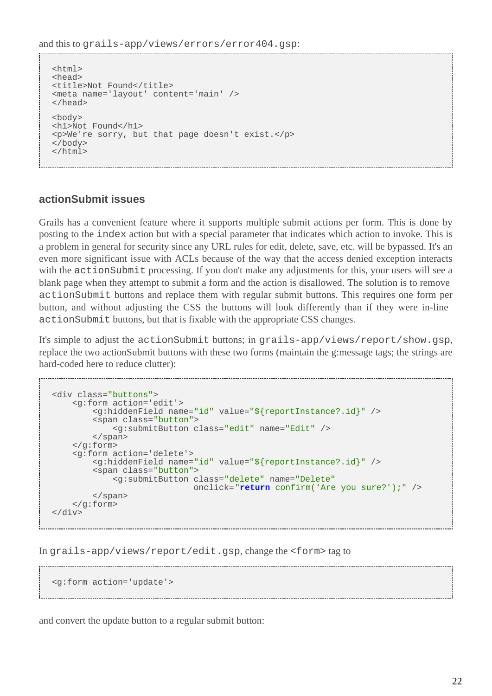```
<html>
<head>
<title>Not Found</title>
<meta name='layout' content='main' />
</head>
<body>
<h1>Not Found</h1>
<p>We're sorry, but that page doesn't exist.</p>
</body>
</html>
```
#### **actionSubmit issues**

Grails has a convenient feature where it supports multiple submit actions per form. This is done by posting to the index action but with a special parameter that indicates which action to invoke. This is a problem in general for security since any URL rules for edit, delete, save, etc. will be bypassed. It's an even more significant issue with ACLs because of the way that the access denied exception interacts with the actionSubmit processing. If you don't make any adjustments for this, your users will see a blank page when they attempt to submit a form and the action is disallowed. The solution is to remove actionSubmit buttons and replace them with regular submit buttons. This requires one form per button, and without adjusting the CSS the buttons will look differently than if they were in-line actionSubmit buttons, but that is fixable with the appropriate CSS changes.

It's simple to adjust the actionSubmit buttons; in grails-app/views/report/show.gsp, replace the two actionSubmit buttons with these two forms (maintain the g:message tags; the strings are hard-coded here to reduce clutter):

```
<div class="buttons">
     <g:form action='edit'>
         <g:hiddenField name="id" value="${reportInstance?.id}" />
         <span class="button">
             <g:submitButton class="edit" name="Edit" />
         </span>
     </g:form>
     <g:form action='delete'>
         <g:hiddenField name="id" value="${reportInstance?.id}" />
         <span class="button">
             <g:submitButton class="delete" name="Delete"
                             onclick="return confirm('Are you sure?');" />
         </span>
     </g:form>
</div>
```
In grails-app/views/report/edit.gsp, change the <form> tag to

```
<g:form action='update'>
```
and convert the update button to a regular submit button: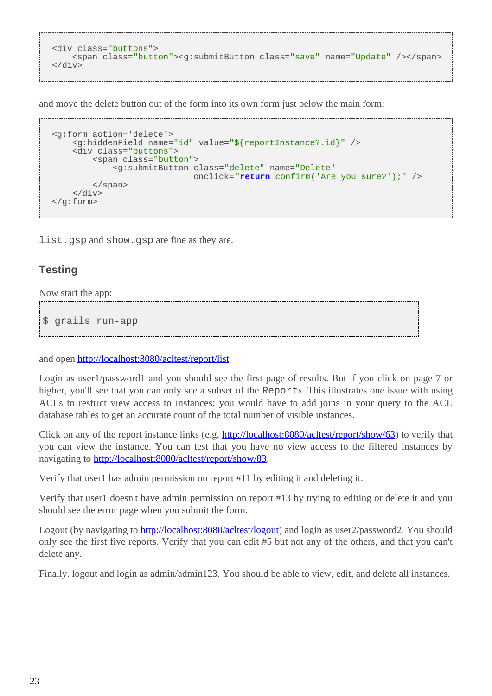```
<div class="buttons">
    <span class="button"><g:submitButton class="save" name="Update" /></span>
</div>
```
and move the delete button out of the form into its own form just below the main form:

```
<g:form action='delete'>
     <g:hiddenField name="id" value="${reportInstance?.id}" />
     <div class="buttons">
         <span class="button">
             <g:submitButton class="delete" name="Delete"
                             onclick="return confirm('Are you sure?');" />
         </span>
     </div>
</g:form>
```
list.gsp and show.gsp are fine as they are.

### **Testing**

Now start the app:

\$ grails run-app

and open <http://localhost:8080/acltest/report/list>

Login as user1/password1 and you should see the first page of results. But if you click on page 7 or higher, you'll see that you can only see a subset of the Reports. This illustrates one issue with using ACLs to restrict view access to instances; you would have to add joins in your query to the ACL database tables to get an accurate count of the total number of visible instances.

Click on any of the report instance links (e.g. <http://localhost:8080/acltest/report/show/63>) to verify that you can view the instance. You can test that you have no view access to the filtered instances by navigating to [http://localhost:8080/acltest/report/show/83.](http://localhost:8080/acltest/report/show/83)

Verify that user1 has admin permission on report #11 by editing it and deleting it.

Verify that user1 doesn't have admin permission on report #13 by trying to editing or delete it and you should see the error page when you submit the form.

Logout (by navigating to <http://localhost:8080/acltest/logout>) and login as user2/password2. You should only see the first five reports. Verify that you can edit #5 but not any of the others, and that you can't delete any.

Finally. logout and login as admin/admin123. You should be able to view, edit, and delete all instances.